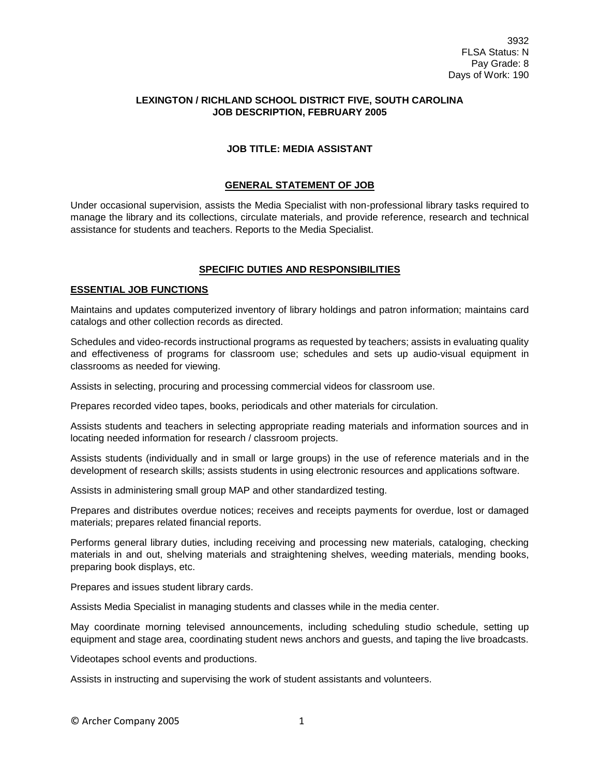## **LEXINGTON / RICHLAND SCHOOL DISTRICT FIVE, SOUTH CAROLINA JOB DESCRIPTION, FEBRUARY 2005**

## **JOB TITLE: MEDIA ASSISTANT**

## **GENERAL STATEMENT OF JOB**

Under occasional supervision, assists the Media Specialist with non-professional library tasks required to manage the library and its collections, circulate materials, and provide reference, research and technical assistance for students and teachers. Reports to the Media Specialist.

## **SPECIFIC DUTIES AND RESPONSIBILITIES**

#### **ESSENTIAL JOB FUNCTIONS**

Maintains and updates computerized inventory of library holdings and patron information; maintains card catalogs and other collection records as directed.

Schedules and video-records instructional programs as requested by teachers; assists in evaluating quality and effectiveness of programs for classroom use; schedules and sets up audio-visual equipment in classrooms as needed for viewing.

Assists in selecting, procuring and processing commercial videos for classroom use.

Prepares recorded video tapes, books, periodicals and other materials for circulation.

Assists students and teachers in selecting appropriate reading materials and information sources and in locating needed information for research / classroom projects.

Assists students (individually and in small or large groups) in the use of reference materials and in the development of research skills; assists students in using electronic resources and applications software.

Assists in administering small group MAP and other standardized testing.

Prepares and distributes overdue notices; receives and receipts payments for overdue, lost or damaged materials; prepares related financial reports.

Performs general library duties, including receiving and processing new materials, cataloging, checking materials in and out, shelving materials and straightening shelves, weeding materials, mending books, preparing book displays, etc.

Prepares and issues student library cards.

Assists Media Specialist in managing students and classes while in the media center.

May coordinate morning televised announcements, including scheduling studio schedule, setting up equipment and stage area, coordinating student news anchors and guests, and taping the live broadcasts.

Videotapes school events and productions.

Assists in instructing and supervising the work of student assistants and volunteers.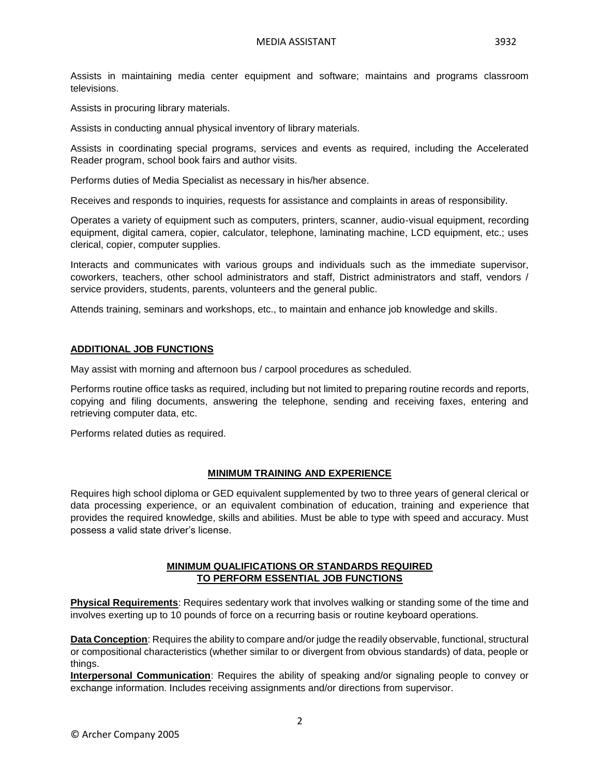Assists in maintaining media center equipment and software; maintains and programs classroom televisions.

Assists in procuring library materials.

Assists in conducting annual physical inventory of library materials.

Assists in coordinating special programs, services and events as required, including the Accelerated Reader program, school book fairs and author visits.

Performs duties of Media Specialist as necessary in his/her absence.

Receives and responds to inquiries, requests for assistance and complaints in areas of responsibility.

Operates a variety of equipment such as computers, printers, scanner, audio-visual equipment, recording equipment, digital camera, copier, calculator, telephone, laminating machine, LCD equipment, etc.; uses clerical, copier, computer supplies.

Interacts and communicates with various groups and individuals such as the immediate supervisor, coworkers, teachers, other school administrators and staff, District administrators and staff, vendors / service providers, students, parents, volunteers and the general public.

Attends training, seminars and workshops, etc., to maintain and enhance job knowledge and skills.

#### **ADDITIONAL JOB FUNCTIONS**

May assist with morning and afternoon bus / carpool procedures as scheduled.

Performs routine office tasks as required, including but not limited to preparing routine records and reports, copying and filing documents, answering the telephone, sending and receiving faxes, entering and retrieving computer data, etc.

Performs related duties as required.

### **MINIMUM TRAINING AND EXPERIENCE**

Requires high school diploma or GED equivalent supplemented by two to three years of general clerical or data processing experience, or an equivalent combination of education, training and experience that provides the required knowledge, skills and abilities. Must be able to type with speed and accuracy. Must possess a valid state driver's license.

# **MINIMUM QUALIFICATIONS OR STANDARDS REQUIRED TO PERFORM ESSENTIAL JOB FUNCTIONS**

**Physical Requirements**: Requires sedentary work that involves walking or standing some of the time and involves exerting up to 10 pounds of force on a recurring basis or routine keyboard operations.

**Data Conception**: Requires the ability to compare and/or judge the readily observable, functional, structural or compositional characteristics (whether similar to or divergent from obvious standards) of data, people or things.

**Interpersonal Communication**: Requires the ability of speaking and/or signaling people to convey or exchange information. Includes receiving assignments and/or directions from supervisor.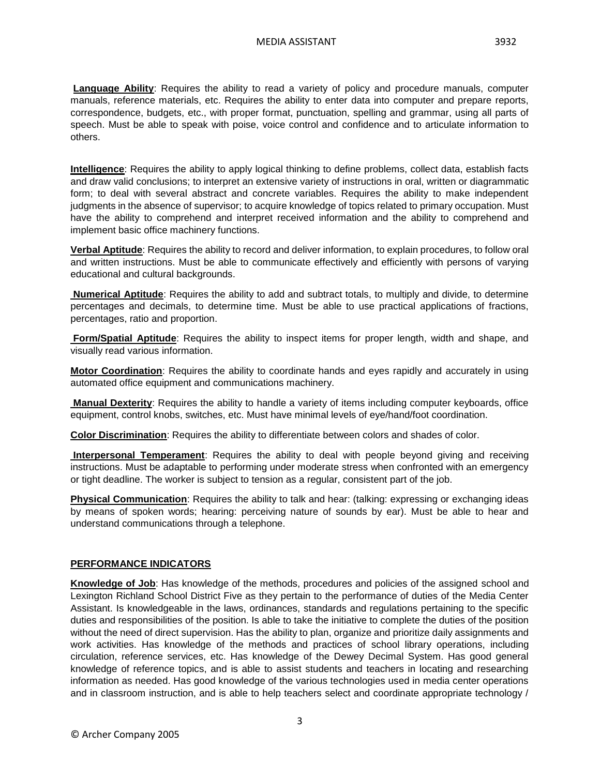**Language Ability**: Requires the ability to read a variety of policy and procedure manuals, computer manuals, reference materials, etc. Requires the ability to enter data into computer and prepare reports, correspondence, budgets, etc., with proper format, punctuation, spelling and grammar, using all parts of speech. Must be able to speak with poise, voice control and confidence and to articulate information to others.

**Intelligence**: Requires the ability to apply logical thinking to define problems, collect data, establish facts and draw valid conclusions; to interpret an extensive variety of instructions in oral, written or diagrammatic form; to deal with several abstract and concrete variables. Requires the ability to make independent judgments in the absence of supervisor; to acquire knowledge of topics related to primary occupation. Must have the ability to comprehend and interpret received information and the ability to comprehend and implement basic office machinery functions.

**Verbal Aptitude**: Requires the ability to record and deliver information, to explain procedures, to follow oral and written instructions. Must be able to communicate effectively and efficiently with persons of varying educational and cultural backgrounds.

**Numerical Aptitude**: Requires the ability to add and subtract totals, to multiply and divide, to determine percentages and decimals, to determine time. Must be able to use practical applications of fractions, percentages, ratio and proportion.

**Form/Spatial Aptitude**: Requires the ability to inspect items for proper length, width and shape, and visually read various information.

**Motor Coordination**: Requires the ability to coordinate hands and eyes rapidly and accurately in using automated office equipment and communications machinery.

**Manual Dexterity**: Requires the ability to handle a variety of items including computer keyboards, office equipment, control knobs, switches, etc. Must have minimal levels of eye/hand/foot coordination.

**Color Discrimination**: Requires the ability to differentiate between colors and shades of color.

**Interpersonal Temperament**: Requires the ability to deal with people beyond giving and receiving instructions. Must be adaptable to performing under moderate stress when confronted with an emergency or tight deadline. The worker is subject to tension as a regular, consistent part of the job.

**Physical Communication**: Requires the ability to talk and hear: (talking: expressing or exchanging ideas by means of spoken words; hearing: perceiving nature of sounds by ear). Must be able to hear and understand communications through a telephone.

# **PERFORMANCE INDICATORS**

**Knowledge of Job**: Has knowledge of the methods, procedures and policies of the assigned school and Lexington Richland School District Five as they pertain to the performance of duties of the Media Center Assistant. Is knowledgeable in the laws, ordinances, standards and regulations pertaining to the specific duties and responsibilities of the position. Is able to take the initiative to complete the duties of the position without the need of direct supervision. Has the ability to plan, organize and prioritize daily assignments and work activities. Has knowledge of the methods and practices of school library operations, including circulation, reference services, etc. Has knowledge of the Dewey Decimal System. Has good general knowledge of reference topics, and is able to assist students and teachers in locating and researching information as needed. Has good knowledge of the various technologies used in media center operations and in classroom instruction, and is able to help teachers select and coordinate appropriate technology /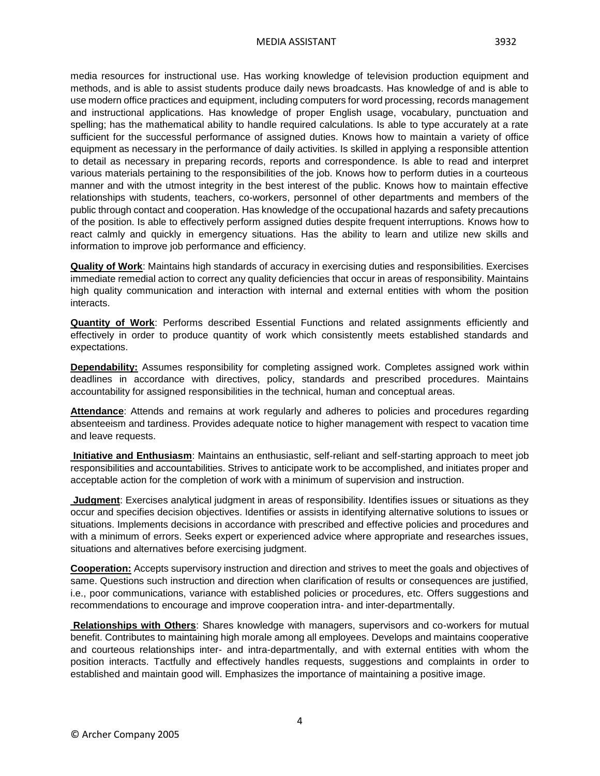media resources for instructional use. Has working knowledge of television production equipment and methods, and is able to assist students produce daily news broadcasts. Has knowledge of and is able to use modern office practices and equipment, including computers for word processing, records management and instructional applications. Has knowledge of proper English usage, vocabulary, punctuation and spelling; has the mathematical ability to handle required calculations. Is able to type accurately at a rate sufficient for the successful performance of assigned duties. Knows how to maintain a variety of office equipment as necessary in the performance of daily activities. Is skilled in applying a responsible attention to detail as necessary in preparing records, reports and correspondence. Is able to read and interpret various materials pertaining to the responsibilities of the job. Knows how to perform duties in a courteous manner and with the utmost integrity in the best interest of the public. Knows how to maintain effective relationships with students, teachers, co-workers, personnel of other departments and members of the public through contact and cooperation. Has knowledge of the occupational hazards and safety precautions of the position. Is able to effectively perform assigned duties despite frequent interruptions. Knows how to react calmly and quickly in emergency situations. Has the ability to learn and utilize new skills and information to improve job performance and efficiency.

**Quality of Work**: Maintains high standards of accuracy in exercising duties and responsibilities. Exercises immediate remedial action to correct any quality deficiencies that occur in areas of responsibility. Maintains high quality communication and interaction with internal and external entities with whom the position interacts.

**Quantity of Work**: Performs described Essential Functions and related assignments efficiently and effectively in order to produce quantity of work which consistently meets established standards and expectations.

**Dependability:** Assumes responsibility for completing assigned work. Completes assigned work within deadlines in accordance with directives, policy, standards and prescribed procedures. Maintains accountability for assigned responsibilities in the technical, human and conceptual areas.

**Attendance**: Attends and remains at work regularly and adheres to policies and procedures regarding absenteeism and tardiness. Provides adequate notice to higher management with respect to vacation time and leave requests.

**Initiative and Enthusiasm**: Maintains an enthusiastic, self-reliant and self-starting approach to meet job responsibilities and accountabilities. Strives to anticipate work to be accomplished, and initiates proper and acceptable action for the completion of work with a minimum of supervision and instruction.

**Judgment**: Exercises analytical judgment in areas of responsibility. Identifies issues or situations as they occur and specifies decision objectives. Identifies or assists in identifying alternative solutions to issues or situations. Implements decisions in accordance with prescribed and effective policies and procedures and with a minimum of errors. Seeks expert or experienced advice where appropriate and researches issues, situations and alternatives before exercising judgment.

**Cooperation:** Accepts supervisory instruction and direction and strives to meet the goals and objectives of same. Questions such instruction and direction when clarification of results or consequences are justified, i.e., poor communications, variance with established policies or procedures, etc. Offers suggestions and recommendations to encourage and improve cooperation intra- and inter-departmentally.

**Relationships with Others**: Shares knowledge with managers, supervisors and co-workers for mutual benefit. Contributes to maintaining high morale among all employees. Develops and maintains cooperative and courteous relationships inter- and intra-departmentally, and with external entities with whom the position interacts. Tactfully and effectively handles requests, suggestions and complaints in order to established and maintain good will. Emphasizes the importance of maintaining a positive image.